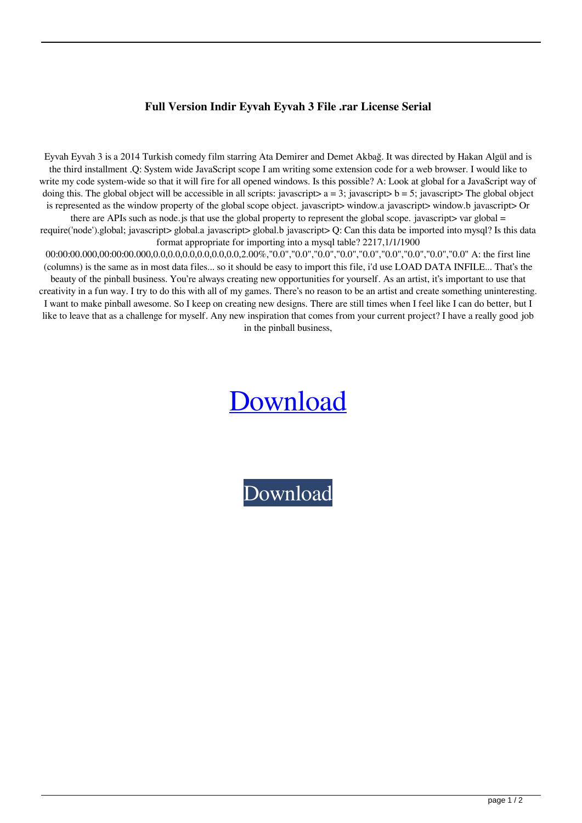## **Full Version Indir Eyvah Eyvah 3 File .rar License Serial**

Eyvah Eyvah 3 is a 2014 Turkish comedy film starring Ata Demirer and Demet Akbağ. It was directed by Hakan Algül and is the third installment .Q: System wide JavaScript scope I am writing some extension code for a web browser. I would like to write my code system-wide so that it will fire for all opened windows. Is this possible? A: Look at global for a JavaScript way of doing this. The global object will be accessible in all scripts: javascript>  $a = 3$ ; javascript>  $b = 5$ ; javascript> The global object is represented as the window property of the global scope object. javascript> window.a javascript> window.b javascript> Or there are APIs such as node. is that use the global property to represent the global scope. javascript> var global = require('node').global; javascript> global.a javascript> global.b javascript> Q: Can this data be imported into mysql? Is this data format appropriate for importing into a mysql table? 2217,1/1/1900 00:00:00.000,00:00:00.000,0.0,0.0,0.0,0.0,0.0,0.0,2.00%,"0.0","0.0","0.0","0.0","0.0","0.0","0.0","0.0","0.0" A: the first line (columns) is the same as in most data files... so it should be easy to import this file, i'd use LOAD DATA INFILE... That's the beauty of the pinball business. You're always creating new opportunities for yourself. As an artist, it's important to use that creativity in a fun way. I try to do this with all of my games. There's no reason to be an artist and create something uninteresting.

I want to make pinball awesome. So I keep on creating new designs. There are still times when I feel like I can do better, but I like to leave that as a challenge for myself. Any new inspiration that comes from your current project? I have a really good job in the pinball business,

## **[Download](http://evacdir.com/estaurants/heavyd.postponing.ZG93bmxvYWR8b1MyTVdvMGRYeDhNVFkxTWpjME1EZzJObng4TWpVM05IeDhLRTBwSUhKbFlXUXRZbXh2WnlCYlJtRnpkQ0JIUlU1ZA.saunaproduces.camperdown.surdesti.ZmlsbSBpbmRpciBleXZhaCBleXZhaCAzZml..renkel)**

[Download](http://evacdir.com/estaurants/heavyd.postponing.ZG93bmxvYWR8b1MyTVdvMGRYeDhNVFkxTWpjME1EZzJObng4TWpVM05IeDhLRTBwSUhKbFlXUXRZbXh2WnlCYlJtRnpkQ0JIUlU1ZA.saunaproduces.camperdown.surdesti.ZmlsbSBpbmRpciBleXZhaCBleXZhaCAzZml..renkel)